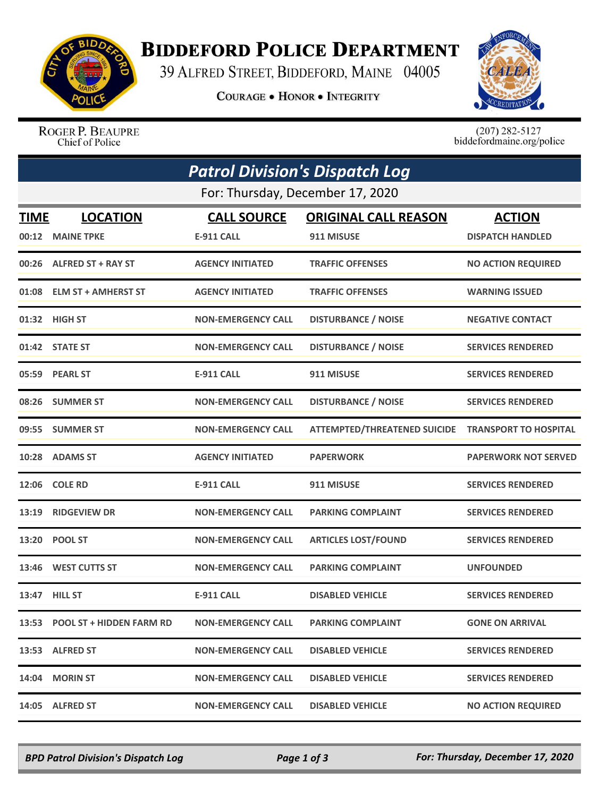

## **BIDDEFORD POLICE DEPARTMENT**

39 ALFRED STREET, BIDDEFORD, MAINE 04005

**COURAGE . HONOR . INTEGRITY** 



ROGER P. BEAUPRE Chief of Police

 $(207)$  282-5127<br>biddefordmaine.org/police

|                                  | <b>Patrol Division's Dispatch Log</b> |                           |                                     |                              |  |  |  |
|----------------------------------|---------------------------------------|---------------------------|-------------------------------------|------------------------------|--|--|--|
| For: Thursday, December 17, 2020 |                                       |                           |                                     |                              |  |  |  |
| <b>TIME</b>                      | <b>LOCATION</b>                       | <b>CALL SOURCE</b>        | <b>ORIGINAL CALL REASON</b>         | <b>ACTION</b>                |  |  |  |
| 00:12                            | <b>MAINE TPKE</b>                     | <b>E-911 CALL</b>         | 911 MISUSE                          | <b>DISPATCH HANDLED</b>      |  |  |  |
|                                  | 00:26 ALFRED ST + RAY ST              | <b>AGENCY INITIATED</b>   | <b>TRAFFIC OFFENSES</b>             | <b>NO ACTION REQUIRED</b>    |  |  |  |
| 01:08                            | <b>ELM ST + AMHERST ST</b>            | <b>AGENCY INITIATED</b>   | <b>TRAFFIC OFFENSES</b>             | <b>WARNING ISSUED</b>        |  |  |  |
|                                  | 01:32 HIGH ST                         | <b>NON-EMERGENCY CALL</b> | <b>DISTURBANCE / NOISE</b>          | <b>NEGATIVE CONTACT</b>      |  |  |  |
|                                  | 01:42 STATE ST                        | <b>NON-EMERGENCY CALL</b> | <b>DISTURBANCE / NOISE</b>          | <b>SERVICES RENDERED</b>     |  |  |  |
|                                  | 05:59 PEARL ST                        | <b>E-911 CALL</b>         | 911 MISUSE                          | <b>SERVICES RENDERED</b>     |  |  |  |
|                                  | 08:26 SUMMER ST                       | <b>NON-EMERGENCY CALL</b> | <b>DISTURBANCE / NOISE</b>          | <b>SERVICES RENDERED</b>     |  |  |  |
|                                  | 09:55 SUMMER ST                       | <b>NON-EMERGENCY CALL</b> | <b>ATTEMPTED/THREATENED SUICIDE</b> | <b>TRANSPORT TO HOSPITAL</b> |  |  |  |
|                                  | 10:28 ADAMS ST                        | <b>AGENCY INITIATED</b>   | <b>PAPERWORK</b>                    | <b>PAPERWORK NOT SERVED</b>  |  |  |  |
| 12:06                            | <b>COLE RD</b>                        | <b>E-911 CALL</b>         | 911 MISUSE                          | <b>SERVICES RENDERED</b>     |  |  |  |
| 13:19                            | <b>RIDGEVIEW DR</b>                   | <b>NON-EMERGENCY CALL</b> | <b>PARKING COMPLAINT</b>            | <b>SERVICES RENDERED</b>     |  |  |  |
| 13:20                            | <b>POOL ST</b>                        | <b>NON-EMERGENCY CALL</b> | <b>ARTICLES LOST/FOUND</b>          | <b>SERVICES RENDERED</b>     |  |  |  |
| 13:46                            | <b>WEST CUTTS ST</b>                  | <b>NON-EMERGENCY CALL</b> | <b>PARKING COMPLAINT</b>            | <b>UNFOUNDED</b>             |  |  |  |
|                                  | 13:47 HILL ST                         | <b>E-911 CALL</b>         | <b>DISABLED VEHICLE</b>             | <b>SERVICES RENDERED</b>     |  |  |  |
|                                  | 13:53 POOL ST + HIDDEN FARM RD        | <b>NON-EMERGENCY CALL</b> | <b>PARKING COMPLAINT</b>            | <b>GONE ON ARRIVAL</b>       |  |  |  |
|                                  | 13:53 ALFRED ST                       | <b>NON-EMERGENCY CALL</b> | <b>DISABLED VEHICLE</b>             | <b>SERVICES RENDERED</b>     |  |  |  |
| 14:04                            | <b>MORIN ST</b>                       | <b>NON-EMERGENCY CALL</b> | <b>DISABLED VEHICLE</b>             | <b>SERVICES RENDERED</b>     |  |  |  |
|                                  | 14:05 ALFRED ST                       | <b>NON-EMERGENCY CALL</b> | <b>DISABLED VEHICLE</b>             | <b>NO ACTION REQUIRED</b>    |  |  |  |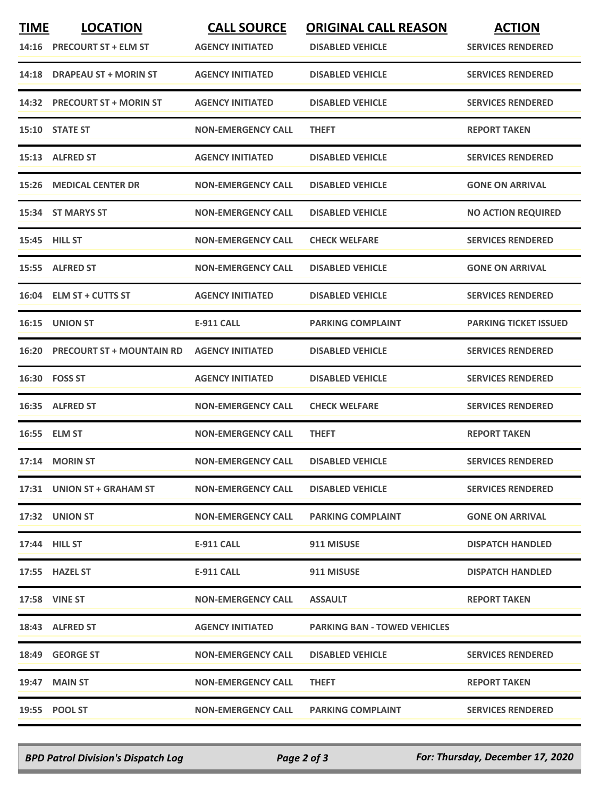| <b>TIME</b> | <b>LOCATION</b><br>14:16 PRECOURT ST + ELM ST | <b>CALL SOURCE</b><br><b>AGENCY INITIATED</b> | <b>ORIGINAL CALL REASON</b><br><b>DISABLED VEHICLE</b> | <b>ACTION</b><br><b>SERVICES RENDERED</b> |
|-------------|-----------------------------------------------|-----------------------------------------------|--------------------------------------------------------|-------------------------------------------|
|             | 14:18 DRAPEAU ST + MORIN ST                   | <b>AGENCY INITIATED</b>                       | <b>DISABLED VEHICLE</b>                                | <b>SERVICES RENDERED</b>                  |
|             | 14:32 PRECOURT ST + MORIN ST                  | <b>AGENCY INITIATED</b>                       | <b>DISABLED VEHICLE</b>                                | <b>SERVICES RENDERED</b>                  |
|             | 15:10 STATE ST                                | <b>NON-EMERGENCY CALL</b>                     | <b>THEFT</b>                                           | <b>REPORT TAKEN</b>                       |
|             | 15:13 ALFRED ST                               | <b>AGENCY INITIATED</b>                       | <b>DISABLED VEHICLE</b>                                | <b>SERVICES RENDERED</b>                  |
|             | <b>15:26 MEDICAL CENTER DR</b>                | <b>NON-EMERGENCY CALL</b>                     | <b>DISABLED VEHICLE</b>                                | <b>GONE ON ARRIVAL</b>                    |
|             | 15:34 ST MARYS ST                             | <b>NON-EMERGENCY CALL</b>                     | <b>DISABLED VEHICLE</b>                                | <b>NO ACTION REQUIRED</b>                 |
|             | <b>15:45 HILL ST</b>                          | <b>NON-EMERGENCY CALL</b>                     | <b>CHECK WELFARE</b>                                   | <b>SERVICES RENDERED</b>                  |
|             | 15:55 ALFRED ST                               | <b>NON-EMERGENCY CALL</b>                     | <b>DISABLED VEHICLE</b>                                | <b>GONE ON ARRIVAL</b>                    |
|             | 16:04 ELM ST + CUTTS ST                       | <b>AGENCY INITIATED</b>                       | <b>DISABLED VEHICLE</b>                                | <b>SERVICES RENDERED</b>                  |
|             | 16:15 UNION ST                                | E-911 CALL                                    | <b>PARKING COMPLAINT</b>                               | <b>PARKING TICKET ISSUED</b>              |
| 16:20       | <b>PRECOURT ST + MOUNTAIN RD</b>              | <b>AGENCY INITIATED</b>                       | <b>DISABLED VEHICLE</b>                                | <b>SERVICES RENDERED</b>                  |
|             | 16:30 FOSS ST                                 | <b>AGENCY INITIATED</b>                       | <b>DISABLED VEHICLE</b>                                | <b>SERVICES RENDERED</b>                  |
|             | 16:35 ALFRED ST                               | <b>NON-EMERGENCY CALL</b>                     | <b>CHECK WELFARE</b>                                   | <b>SERVICES RENDERED</b>                  |
|             | 16:55 ELM ST                                  | <b>NON-EMERGENCY CALL</b>                     | <b>THEFT</b>                                           | <b>REPORT TAKEN</b>                       |
|             | 17:14 MORIN ST                                | <b>NON-EMERGENCY CALL</b>                     | <b>DISABLED VEHICLE</b>                                | <b>SERVICES RENDERED</b>                  |
|             | 17:31 UNION ST + GRAHAM ST                    | <b>NON-EMERGENCY CALL</b>                     | <b>DISABLED VEHICLE</b>                                | <b>SERVICES RENDERED</b>                  |
|             | 17:32 UNION ST                                | <b>NON-EMERGENCY CALL</b>                     | <b>PARKING COMPLAINT</b>                               | <b>GONE ON ARRIVAL</b>                    |
|             | 17:44 HILL ST                                 | E-911 CALL                                    | 911 MISUSE                                             | <b>DISPATCH HANDLED</b>                   |
|             | 17:55 HAZEL ST                                | E-911 CALL                                    | 911 MISUSE                                             | <b>DISPATCH HANDLED</b>                   |
|             | <b>17:58 VINE ST</b>                          | <b>NON-EMERGENCY CALL</b>                     | <b>ASSAULT</b>                                         | <b>REPORT TAKEN</b>                       |
|             | 18:43 ALFRED ST                               | <b>AGENCY INITIATED</b>                       | <b>PARKING BAN - TOWED VEHICLES</b>                    |                                           |
|             | 18:49 GEORGE ST                               | <b>NON-EMERGENCY CALL</b>                     | <b>DISABLED VEHICLE</b>                                | <b>SERVICES RENDERED</b>                  |
|             | 19:47 MAIN ST                                 | <b>NON-EMERGENCY CALL</b>                     | <b>THEFT</b>                                           | <b>REPORT TAKEN</b>                       |
|             | 19:55 POOL ST                                 | <b>NON-EMERGENCY CALL</b>                     | <b>PARKING COMPLAINT</b>                               | <b>SERVICES RENDERED</b>                  |

*BPD Patrol Division's Dispatch Log Page 2 of 3 For: Thursday, December 17, 2020*